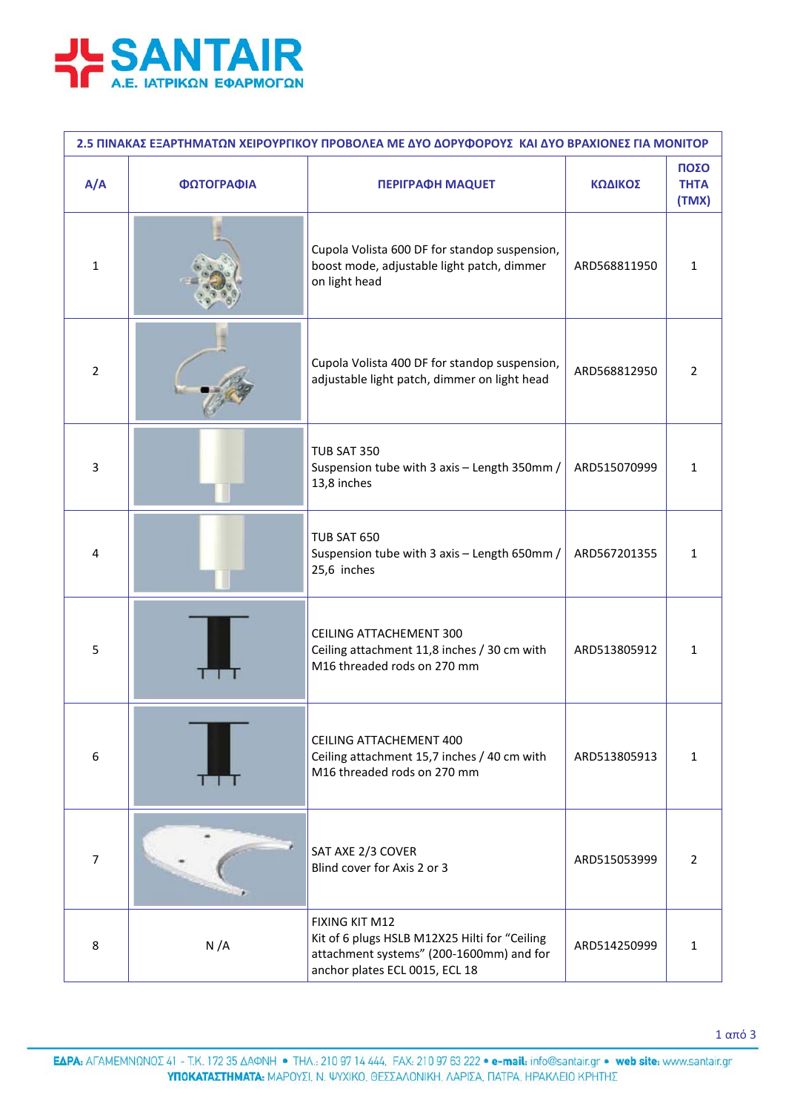

| 2.5 ΠΙΝΑΚΑΣ ΕΞΑΡΤΗΜΑΤΩΝ ΧΕΙΡΟΥΡΓΙΚΟΥ ΠΡΟΒΟΛΕΑ ΜΕ ΔΥΟ ΔΟΡΥΦΟΡΟΥΣ ΚΑΙ ΔΥΟ ΒΡΑΧΙΟΝΕΣ ΓΙΑ ΜΟΝΙΤΟΡ |            |                                                                                                                                               |              |                              |  |  |  |
|-----------------------------------------------------------------------------------------------|------------|-----------------------------------------------------------------------------------------------------------------------------------------------|--------------|------------------------------|--|--|--|
| A/A                                                                                           | ΦΩΤΟΓΡΑΦΙΑ | <b>ΠΕΡΙΓΡΑΦΗ ΜΑQUET</b>                                                                                                                       | ΚΩΔΙΚΟΣ      | ΠΟΣΟ<br><b>THTA</b><br>(TMX) |  |  |  |
| $\mathbf{1}$                                                                                  |            | Cupola Volista 600 DF for standop suspension,<br>boost mode, adjustable light patch, dimmer<br>on light head                                  | ARD568811950 | 1                            |  |  |  |
| 2                                                                                             |            | Cupola Volista 400 DF for standop suspension,<br>adjustable light patch, dimmer on light head                                                 | ARD568812950 | 2                            |  |  |  |
| 3                                                                                             |            | <b>TUB SAT 350</b><br>Suspension tube with 3 axis - Length 350mm /<br>13,8 inches                                                             | ARD515070999 | 1                            |  |  |  |
| 4                                                                                             |            | <b>TUB SAT 650</b><br>Suspension tube with 3 axis - Length 650mm /<br>25,6 inches                                                             | ARD567201355 | 1                            |  |  |  |
| 5                                                                                             |            | <b>CEILING ATTACHEMENT 300</b><br>Ceiling attachment 11,8 inches / 30 cm with<br>M16 threaded rods on 270 mm                                  | ARD513805912 | 1                            |  |  |  |
| 6                                                                                             | . .        | CEILING ATTACHEMENT 400<br>Ceiling attachment 15,7 inches / 40 cm with<br>M16 threaded rods on 270 mm                                         | ARD513805913 | $\mathbf{1}$                 |  |  |  |
| $\overline{7}$                                                                                |            | SAT AXE 2/3 COVER<br>Blind cover for Axis 2 or 3                                                                                              | ARD515053999 | $\overline{2}$               |  |  |  |
| 8                                                                                             | N/A        | FIXING KIT M12<br>Kit of 6 plugs HSLB M12X25 Hilti for "Ceiling<br>attachment systems" (200-1600mm) and for<br>anchor plates ECL 0015, ECL 18 | ARD514250999 | 1                            |  |  |  |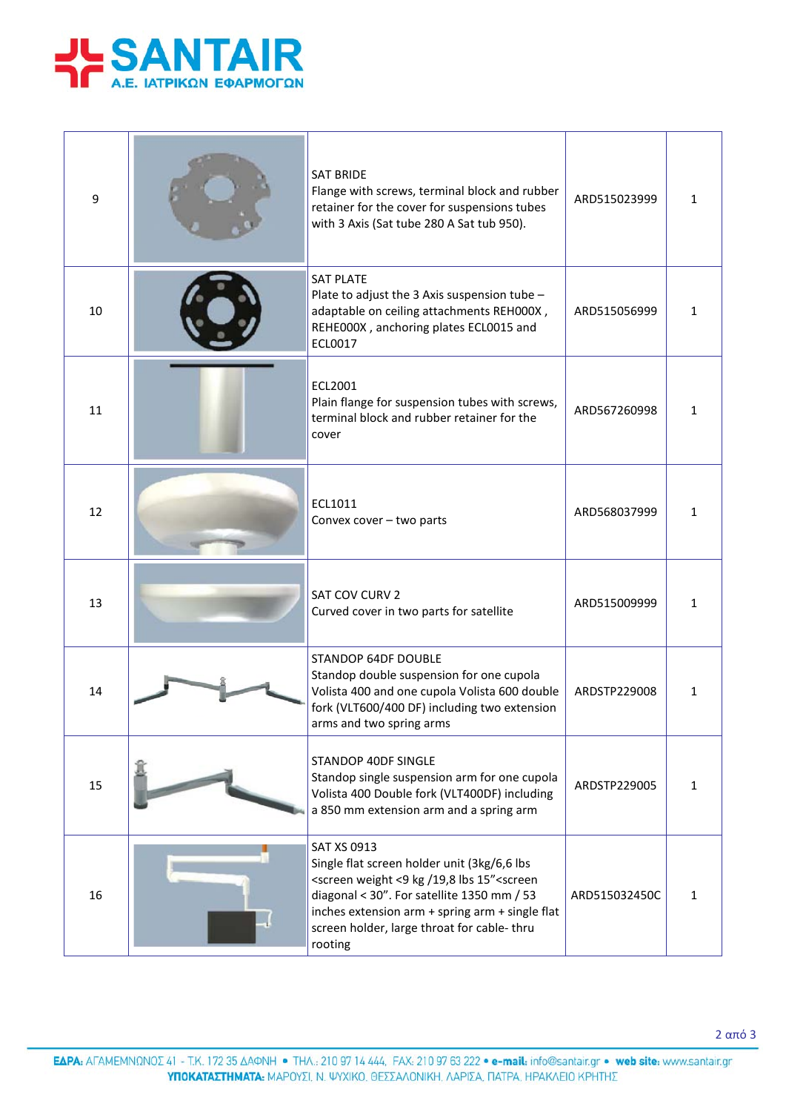

| 9  | <b>SAT BRIDE</b><br>Flange with screws, terminal block and rubber<br>retainer for the cover for suspensions tubes<br>with 3 Axis (Sat tube 280 A Sat tub 950).                                                                                                                                           | ARD515023999  | 1            |
|----|----------------------------------------------------------------------------------------------------------------------------------------------------------------------------------------------------------------------------------------------------------------------------------------------------------|---------------|--------------|
| 10 | <b>SAT PLATE</b><br>Plate to adjust the 3 Axis suspension tube -<br>adaptable on ceiling attachments REH000X,<br>REHE000X, anchoring plates ECL0015 and<br>ECL0017                                                                                                                                       | ARD515056999  | 1            |
| 11 | ECL2001<br>Plain flange for suspension tubes with screws,<br>terminal block and rubber retainer for the<br>cover                                                                                                                                                                                         | ARD567260998  | 1            |
| 12 | ECL1011<br>Convex cover - two parts                                                                                                                                                                                                                                                                      | ARD568037999  | 1            |
| 13 | SAT COV CURV 2<br>Curved cover in two parts for satellite                                                                                                                                                                                                                                                | ARD515009999  | 1            |
| 14 | <b>STANDOP 64DF DOUBLE</b><br>Standop double suspension for one cupola<br>Volista 400 and one cupola Volista 600 double<br>fork (VLT600/400 DF) including two extension<br>arms and two spring arms                                                                                                      | ARDSTP229008  | 1            |
| 15 | STANDOP 40DF SINGLE<br>Standop single suspension arm for one cupola<br>Volista 400 Double fork (VLT400DF) including<br>a 850 mm extension arm and a spring arm                                                                                                                                           | ARDSTP229005  | $\mathbf{1}$ |
| 16 | <b>SAT XS 0913</b><br>Single flat screen holder unit (3kg/6,6 lbs<br><screen 15"<screen<br="" 19,8="" <9="" kg="" lbs="" weight="">diagonal &lt; 30". For satellite 1350 mm / 53<br/>inches extension arm + spring arm + single flat<br/>screen holder, large throat for cable-thru<br/>rooting</screen> | ARD515032450C | $\mathbf{1}$ |